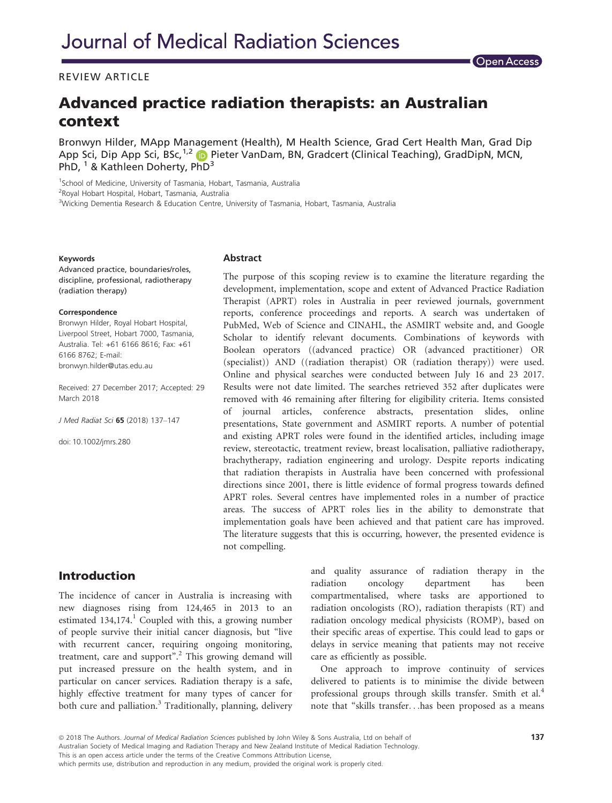#### REVIEW ARTICLE



# Advanced practice radiation therapists: an Australian context

Bronwyn Hilder, MApp Management (Health), M Health Science, Grad Cert Health Man, Grad Dip App Sci, Dip App Sci, BSc,<sup>1,2</sup> Pieter VanDam, BN, Gradcert (Clinical Teaching), GradDipN, MCN, PhD,  $1$  & Kathleen Doherty, PhD<sup>3</sup>

1 School of Medicine, University of Tasmania, Hobart, Tasmania, Australia 2 Royal Hobart Hospital, Hobart, Tasmania, Australia 3 Wicking Dementia Research & Education Centre, University of Tasmania, Hobart, Tasmania, Australia

#### Keywords

Advanced practice, boundaries/roles, discipline, professional, radiotherapy (radiation therapy)

#### Correspondence

Bronwyn Hilder, Royal Hobart Hospital, Liverpool Street, Hobart 7000, Tasmania, Australia. Tel: +61 6166 8616; Fax: +61 6166 8762; E-mail: bronwyn.hilder@utas.edu.au

Received: 27 December 2017; Accepted: 29 March 2018

J Med Radiat Sci 65 (2018) 137–147

doi: 10.1002/jmrs.280

#### Abstract

The purpose of this scoping review is to examine the literature regarding the development, implementation, scope and extent of Advanced Practice Radiation Therapist (APRT) roles in Australia in peer reviewed journals, government reports, conference proceedings and reports. A search was undertaken of PubMed, Web of Science and CINAHL, the ASMIRT website and, and Google Scholar to identify relevant documents. Combinations of keywords with Boolean operators ((advanced practice) OR (advanced practitioner) OR (specialist)) AND ((radiation therapist) OR (radiation therapy)) were used. Online and physical searches were conducted between July 16 and 23 2017. Results were not date limited. The searches retrieved 352 after duplicates were removed with 46 remaining after filtering for eligibility criteria. Items consisted of journal articles, conference abstracts, presentation slides, online presentations, State government and ASMIRT reports. A number of potential and existing APRT roles were found in the identified articles, including image review, stereotactic, treatment review, breast localisation, palliative radiotherapy, brachytherapy, radiation engineering and urology. Despite reports indicating that radiation therapists in Australia have been concerned with professional directions since 2001, there is little evidence of formal progress towards defined APRT roles. Several centres have implemented roles in a number of practice areas. The success of APRT roles lies in the ability to demonstrate that implementation goals have been achieved and that patient care has improved. The literature suggests that this is occurring, however, the presented evidence is not compelling.

## Introduction

The incidence of cancer in Australia is increasing with new diagnoses rising from 124,465 in 2013 to an estimated 134,174.<sup>1</sup> Coupled with this, a growing number of people survive their initial cancer diagnosis, but "live with recurrent cancer, requiring ongoing monitoring, treatment, care and support".<sup>2</sup> This growing demand will put increased pressure on the health system, and in particular on cancer services. Radiation therapy is a safe, highly effective treatment for many types of cancer for both cure and palliation.<sup>3</sup> Traditionally, planning, delivery

and quality assurance of radiation therapy in the radiation oncology department has been compartmentalised, where tasks are apportioned to radiation oncologists (RO), radiation therapists (RT) and radiation oncology medical physicists (ROMP), based on their specific areas of expertise. This could lead to gaps or delays in service meaning that patients may not receive care as efficiently as possible.

One approach to improve continuity of services delivered to patients is to minimise the divide between professional groups through skills transfer. Smith et al.<sup>4</sup> note that "skills transfer...has been proposed as a means

ª 2018 The Authors. Journal of Medical Radiation Sciences published by John Wiley & Sons Australia, Ltd on behalf of Australian Society of Medical Imaging and Radiation Therapy and New Zealand Institute of Medical Radiation Technology. This is an open access article under the terms of the [Creative Commons Attribution](http://creativecommons.org/licenses/by/4.0/) License,

which permits use, distribution and reproduction in any medium, provided the original work is properly cited.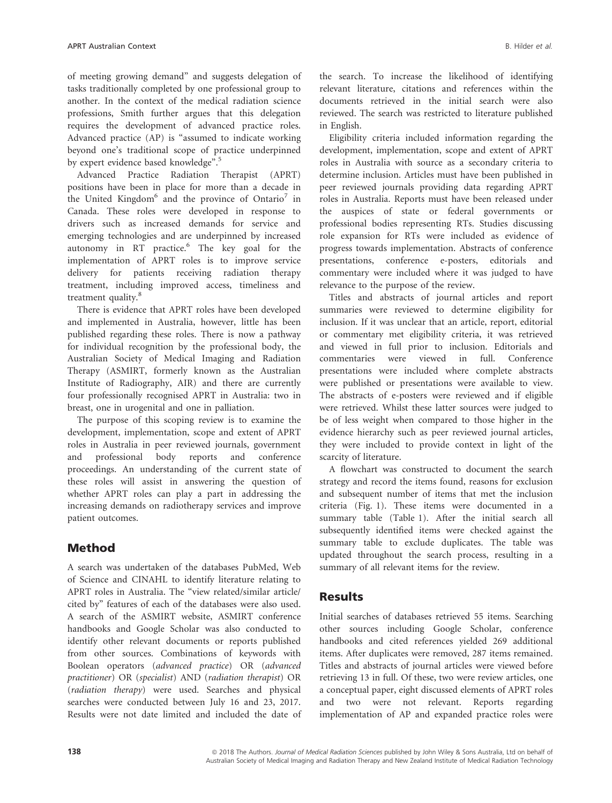of meeting growing demand" and suggests delegation of tasks traditionally completed by one professional group to another. In the context of the medical radiation science professions, Smith further argues that this delegation requires the development of advanced practice roles. Advanced practice (AP) is "assumed to indicate working beyond one's traditional scope of practice underpinned by expert evidence based knowledge".<sup>5</sup>

Advanced Practice Radiation Therapist (APRT) positions have been in place for more than a decade in the United Kingdom $<sup>6</sup>$  and the province of Ontario<sup>7</sup> in</sup> Canada. These roles were developed in response to drivers such as increased demands for service and emerging technologies and are underpinned by increased autonomy in RT practice.<sup>6</sup> The key goal for the implementation of APRT roles is to improve service delivery for patients receiving radiation therapy treatment, including improved access, timeliness and treatment quality.<sup>8</sup>

There is evidence that APRT roles have been developed and implemented in Australia, however, little has been published regarding these roles. There is now a pathway for individual recognition by the professional body, the Australian Society of Medical Imaging and Radiation Therapy (ASMIRT, formerly known as the Australian Institute of Radiography, AIR) and there are currently four professionally recognised APRT in Australia: two in breast, one in urogenital and one in palliation.

The purpose of this scoping review is to examine the development, implementation, scope and extent of APRT roles in Australia in peer reviewed journals, government and professional body reports and conference proceedings. An understanding of the current state of these roles will assist in answering the question of whether APRT roles can play a part in addressing the increasing demands on radiotherapy services and improve patient outcomes.

# Method

A search was undertaken of the databases PubMed, Web of Science and CINAHL to identify literature relating to APRT roles in Australia. The "view related/similar article/ cited by" features of each of the databases were also used. A search of the ASMIRT website, ASMIRT conference handbooks and Google Scholar was also conducted to identify other relevant documents or reports published from other sources. Combinations of keywords with Boolean operators (advanced practice) OR (advanced practitioner) OR (specialist) AND (radiation therapist) OR (radiation therapy) were used. Searches and physical searches were conducted between July 16 and 23, 2017. Results were not date limited and included the date of the search. To increase the likelihood of identifying relevant literature, citations and references within the documents retrieved in the initial search were also reviewed. The search was restricted to literature published in English.

Eligibility criteria included information regarding the development, implementation, scope and extent of APRT roles in Australia with source as a secondary criteria to determine inclusion. Articles must have been published in peer reviewed journals providing data regarding APRT roles in Australia. Reports must have been released under the auspices of state or federal governments or professional bodies representing RTs. Studies discussing role expansion for RTs were included as evidence of progress towards implementation. Abstracts of conference presentations, conference e-posters, editorials and commentary were included where it was judged to have relevance to the purpose of the review.

Titles and abstracts of journal articles and report summaries were reviewed to determine eligibility for inclusion. If it was unclear that an article, report, editorial or commentary met eligibility criteria, it was retrieved and viewed in full prior to inclusion. Editorials and commentaries were viewed in full. Conference presentations were included where complete abstracts were published or presentations were available to view. The abstracts of e-posters were reviewed and if eligible were retrieved. Whilst these latter sources were judged to be of less weight when compared to those higher in the evidence hierarchy such as peer reviewed journal articles, they were included to provide context in light of the scarcity of literature.

A flowchart was constructed to document the search strategy and record the items found, reasons for exclusion and subsequent number of items that met the inclusion criteria (Fig. 1). These items were documented in a summary table (Table 1). After the initial search all subsequently identified items were checked against the summary table to exclude duplicates. The table was updated throughout the search process, resulting in a summary of all relevant items for the review.

### Results

Initial searches of databases retrieved 55 items. Searching other sources including Google Scholar, conference handbooks and cited references yielded 269 additional items. After duplicates were removed, 287 items remained. Titles and abstracts of journal articles were viewed before retrieving 13 in full. Of these, two were review articles, one a conceptual paper, eight discussed elements of APRT roles and two were not relevant. Reports regarding implementation of AP and expanded practice roles were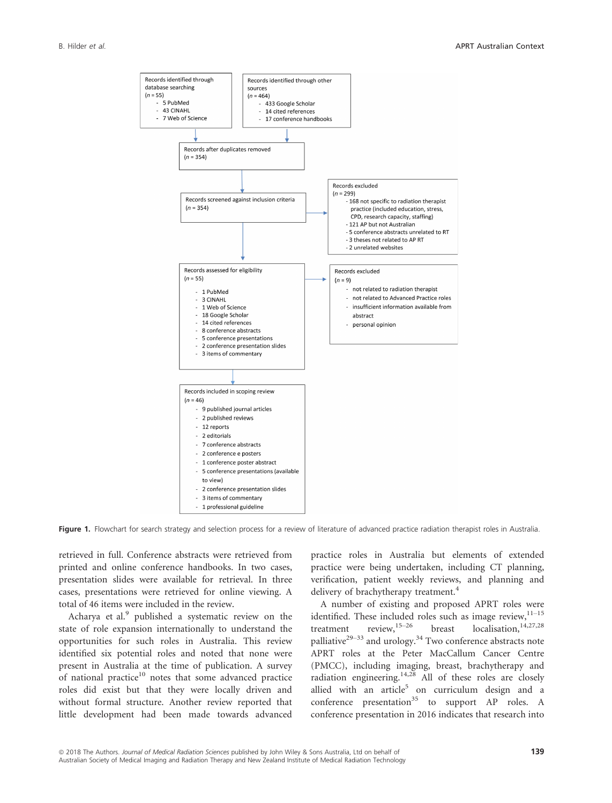

Figure 1. Flowchart for search strategy and selection process for a review of literature of advanced practice radiation therapist roles in Australia.

retrieved in full. Conference abstracts were retrieved from printed and online conference handbooks. In two cases, presentation slides were available for retrieval. In three cases, presentations were retrieved for online viewing. A total of 46 items were included in the review.

Acharya et al.<sup>9</sup> published a systematic review on the state of role expansion internationally to understand the opportunities for such roles in Australia. This review identified six potential roles and noted that none were present in Australia at the time of publication. A survey of national practice $10$  notes that some advanced practice roles did exist but that they were locally driven and without formal structure. Another review reported that little development had been made towards advanced practice roles in Australia but elements of extended practice were being undertaken, including CT planning, verification, patient weekly reviews, and planning and delivery of brachytherapy treatment.<sup>4</sup>

A number of existing and proposed APRT roles were identified. These included roles such as image review,  $11-15$ <br>treatment review,  $15-26$  breast localisation,  $14,27,28$ treatment review,  $15-26$  breast localisation,  $14,27,28$ palliative<sup>29–33</sup> and urology.<sup>34</sup> Two conference abstracts note APRT roles at the Peter MacCallum Cancer Centre (PMCC), including imaging, breast, brachytherapy and radiation engineering.<sup>14,28</sup> All of these roles are closely allied with an article $5$  on curriculum design and a conference presentation<sup>35</sup> to support AP roles. A conference presentation in 2016 indicates that research into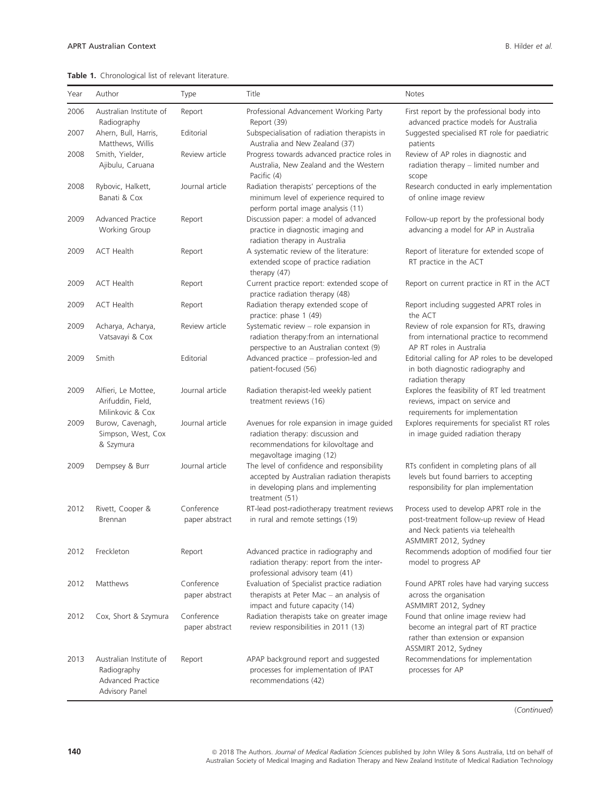|  | Table 1. Chronological list of relevant literature. |  |  |  |
|--|-----------------------------------------------------|--|--|--|
|--|-----------------------------------------------------|--|--|--|

| Year | Author                                                                        | Type                         | Title                                                                                                                                               | <b>Notes</b>                                                                                                                                    |
|------|-------------------------------------------------------------------------------|------------------------------|-----------------------------------------------------------------------------------------------------------------------------------------------------|-------------------------------------------------------------------------------------------------------------------------------------------------|
| 2006 | Australian Institute of<br>Radiography                                        | Report                       | Professional Advancement Working Party<br>Report (39)                                                                                               | First report by the professional body into<br>advanced practice models for Australia                                                            |
| 2007 | Ahern, Bull, Harris,<br>Matthews, Willis                                      | Editorial                    | Subspecialisation of radiation therapists in<br>Australia and New Zealand (37)                                                                      | Suggested specialised RT role for paediatric<br>patients                                                                                        |
| 2008 | Smith, Yielder,<br>Ajibulu, Caruana                                           | Review article               | Progress towards advanced practice roles in<br>Australia, New Zealand and the Western<br>Pacific (4)                                                | Review of AP roles in diagnostic and<br>radiation therapy - limited number and<br>scope                                                         |
| 2008 | Rybovic, Halkett,<br>Banati & Cox                                             | Journal article              | Radiation therapists' perceptions of the<br>minimum level of experience required to<br>perform portal image analysis (11)                           | Research conducted in early implementation<br>of online image review                                                                            |
| 2009 | Advanced Practice<br>Working Group                                            | Report                       | Discussion paper: a model of advanced<br>practice in diagnostic imaging and<br>radiation therapy in Australia                                       | Follow-up report by the professional body<br>advancing a model for AP in Australia                                                              |
| 2009 | <b>ACT Health</b>                                                             | Report                       | A systematic review of the literature:<br>extended scope of practice radiation<br>therapy $(47)$                                                    | Report of literature for extended scope of<br>RT practice in the ACT                                                                            |
| 2009 | <b>ACT Health</b>                                                             | Report                       | Current practice report: extended scope of<br>practice radiation therapy (48)                                                                       | Report on current practice in RT in the ACT                                                                                                     |
| 2009 | <b>ACT Health</b>                                                             | Report                       | Radiation therapy extended scope of<br>practice: phase 1 (49)                                                                                       | Report including suggested APRT roles in<br>the ACT                                                                                             |
| 2009 | Acharya, Acharya,<br>Vatsavayi & Cox                                          | Review article               | Systematic review - role expansion in<br>radiation therapy: from an international<br>perspective to an Australian context (9)                       | Review of role expansion for RTs, drawing<br>from international practice to recommend<br>AP RT roles in Australia                               |
| 2009 | Smith                                                                         | Editorial                    | Advanced practice - profession-led and<br>patient-focused (56)                                                                                      | Editorial calling for AP roles to be developed<br>in both diagnostic radiography and<br>radiation therapy                                       |
| 2009 | Alfieri, Le Mottee,<br>Arifuddin, Field,<br>Milinkovic & Cox                  | Journal article              | Radiation therapist-led weekly patient<br>treatment reviews (16)                                                                                    | Explores the feasibility of RT led treatment<br>reviews, impact on service and<br>requirements for implementation                               |
| 2009 | Burow, Cavenagh,<br>Simpson, West, Cox<br>& Szymura                           | Journal article              | Avenues for role expansion in image guided<br>radiation therapy: discussion and<br>recommendations for kilovoltage and<br>megavoltage imaging (12)  | Explores requirements for specialist RT roles<br>in image guided radiation therapy                                                              |
| 2009 | Dempsey & Burr                                                                | Journal article              | The level of confidence and responsibility<br>accepted by Australian radiation therapists<br>in developing plans and implementing<br>treatment (51) | RTs confident in completing plans of all<br>levels but found barriers to accepting<br>responsibility for plan implementation                    |
| 2012 | Rivett, Cooper &<br>Brennan                                                   | Conference<br>paper abstract | RT-lead post-radiotherapy treatment reviews<br>in rural and remote settings (19)                                                                    | Process used to develop APRT role in the<br>post-treatment follow-up review of Head<br>and Neck patients via telehealth<br>ASMMIRT 2012, Sydney |
| 2012 | Freckleton                                                                    | Report                       | Advanced practice in radiography and<br>radiation therapy: report from the inter-<br>professional advisory team (41)                                | Recommends adoption of modified four tier<br>model to progress AP                                                                               |
| 2012 | Matthews                                                                      | Conference<br>paper abstract | Evaluation of Specialist practice radiation<br>therapists at Peter Mac - an analysis of<br>impact and future capacity (14)                          | Found APRT roles have had varying success<br>across the organisation<br>ASMMIRT 2012, Sydney                                                    |
| 2012 | Cox, Short & Szymura                                                          | Conference<br>paper abstract | Radiation therapists take on greater image<br>review responsibilities in 2011 (13)                                                                  | Found that online image review had<br>become an integral part of RT practice<br>rather than extension or expansion<br>ASSMIRT 2012, Sydney      |
| 2013 | Australian Institute of<br>Radiography<br>Advanced Practice<br>Advisory Panel | Report                       | APAP background report and suggested<br>processes for implementation of IPAT<br>recommendations (42)                                                | Recommendations for implementation<br>processes for AP                                                                                          |

(Continued)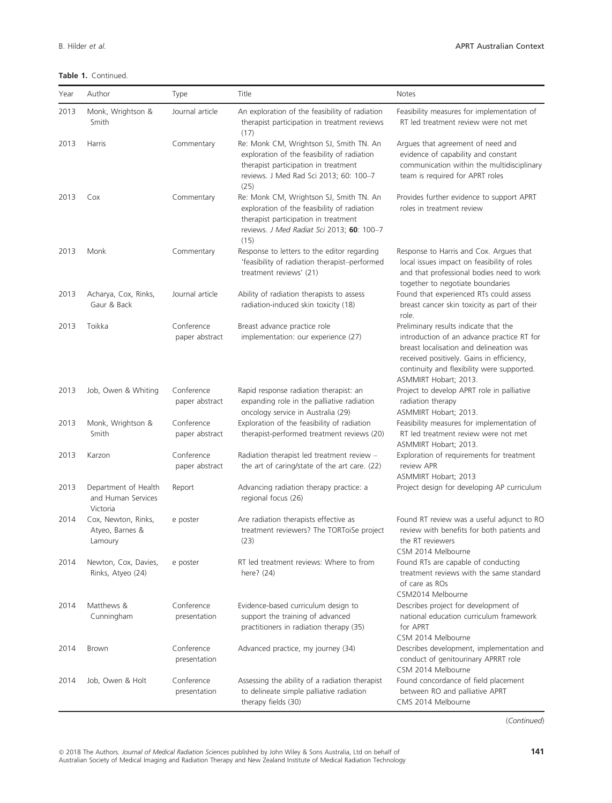|  |  | Table 1. Continued. |
|--|--|---------------------|
|--|--|---------------------|

| Year | Author                                                 | Type                         | Title                                                                                                                                                                               | <b>Notes</b>                                                                                                                                                                                                                                       |
|------|--------------------------------------------------------|------------------------------|-------------------------------------------------------------------------------------------------------------------------------------------------------------------------------------|----------------------------------------------------------------------------------------------------------------------------------------------------------------------------------------------------------------------------------------------------|
| 2013 | Monk, Wrightson &<br>Smith                             | Journal article              | An exploration of the feasibility of radiation<br>therapist participation in treatment reviews<br>(17)                                                                              | Feasibility measures for implementation of<br>RT led treatment review were not met                                                                                                                                                                 |
| 2013 | Harris                                                 | Commentary                   | Re: Monk CM, Wrightson SJ, Smith TN. An<br>exploration of the feasibility of radiation<br>therapist participation in treatment<br>reviews. J Med Rad Sci 2013; 60: 100-7<br>(25)    | Argues that agreement of need and<br>evidence of capability and constant<br>communication within the multidisciplinary<br>team is required for APRT roles                                                                                          |
| 2013 | Cox                                                    | Commentary                   | Re: Monk CM, Wrightson SJ, Smith TN. An<br>exploration of the feasibility of radiation<br>therapist participation in treatment<br>reviews. J Med Radiat Sci 2013; 60: 100-7<br>(15) | Provides further evidence to support APRT<br>roles in treatment review                                                                                                                                                                             |
| 2013 | Monk                                                   | Commentary                   | Response to letters to the editor regarding<br>'feasibility of radiation therapist-performed<br>treatment reviews' (21)                                                             | Response to Harris and Cox. Argues that<br>local issues impact on feasibility of roles<br>and that professional bodies need to work<br>together to negotiate boundaries                                                                            |
| 2013 | Acharya, Cox, Rinks,<br>Gaur & Back                    | Journal article              | Ability of radiation therapists to assess<br>radiation-induced skin toxicity (18)                                                                                                   | Found that experienced RTs could assess<br>breast cancer skin toxicity as part of their<br>role.                                                                                                                                                   |
| 2013 | Toikka                                                 | Conference<br>paper abstract | Breast advance practice role<br>implementation: our experience (27)                                                                                                                 | Preliminary results indicate that the<br>introduction of an advance practice RT for<br>breast localisation and delineation was<br>received positively. Gains in efficiency,<br>continuity and flexibility were supported.<br>ASMMIRT Hobart; 2013. |
| 2013 | Job, Owen & Whiting                                    | Conference<br>paper abstract | Rapid response radiation therapist: an<br>expanding role in the palliative radiation<br>oncology service in Australia (29)                                                          | Project to develop APRT role in palliative<br>radiation therapy<br>ASMMIRT Hobart; 2013.                                                                                                                                                           |
| 2013 | Monk, Wrightson &<br>Smith                             | Conference<br>paper abstract | Exploration of the feasibility of radiation<br>therapist-performed treatment reviews (20)                                                                                           | Feasibility measures for implementation of<br>RT led treatment review were not met<br>ASMMIRT Hobart; 2013.                                                                                                                                        |
| 2013 | Karzon                                                 | Conference<br>paper abstract | Radiation therapist led treatment review -<br>the art of caring/state of the art care. (22)                                                                                         | Exploration of requirements for treatment<br>review APR<br>ASMMIRT Hobart; 2013                                                                                                                                                                    |
| 2013 | Department of Health<br>and Human Services<br>Victoria | Report                       | Advancing radiation therapy practice: a<br>regional focus (26)                                                                                                                      | Project design for developing AP curriculum                                                                                                                                                                                                        |
| 2014 | Cox, Newton, Rinks,<br>Atyeo, Barnes &<br>Lamoury      | e poster                     | Are radiation therapists effective as<br>treatment reviewers? The TORToiSe project<br>(23)                                                                                          | Found RT review was a useful adjunct to RO<br>review with benefits for both patients and<br>the RT reviewers<br>CSM 2014 Melbourne                                                                                                                 |
| 2014 | Newton, Cox, Davies,<br>Rinks, Atyeo (24)              | e poster                     | RT led treatment reviews: Where to from<br>here? (24)                                                                                                                               | Found RTs are capable of conducting<br>treatment reviews with the same standard<br>of care as ROs<br>CSM2014 Melbourne                                                                                                                             |
| 2014 | Matthews &<br>Cunningham                               | Conference<br>presentation   | Evidence-based curriculum design to<br>support the training of advanced<br>practitioners in radiation therapy (35)                                                                  | Describes project for development of<br>national education curriculum framework<br>for APRT<br>CSM 2014 Melbourne                                                                                                                                  |
| 2014 | Brown                                                  | Conference<br>presentation   | Advanced practice, my journey (34)                                                                                                                                                  | Describes development, implementation and<br>conduct of genitourinary APRRT role<br>CSM 2014 Melbourne                                                                                                                                             |
| 2014 | Job, Owen & Holt                                       | Conference<br>presentation   | Assessing the ability of a radiation therapist<br>to delineate simple palliative radiation<br>therapy fields (30)                                                                   | Found concordance of field placement<br>between RO and palliative APRT<br>CMS 2014 Melbourne                                                                                                                                                       |

(Continued)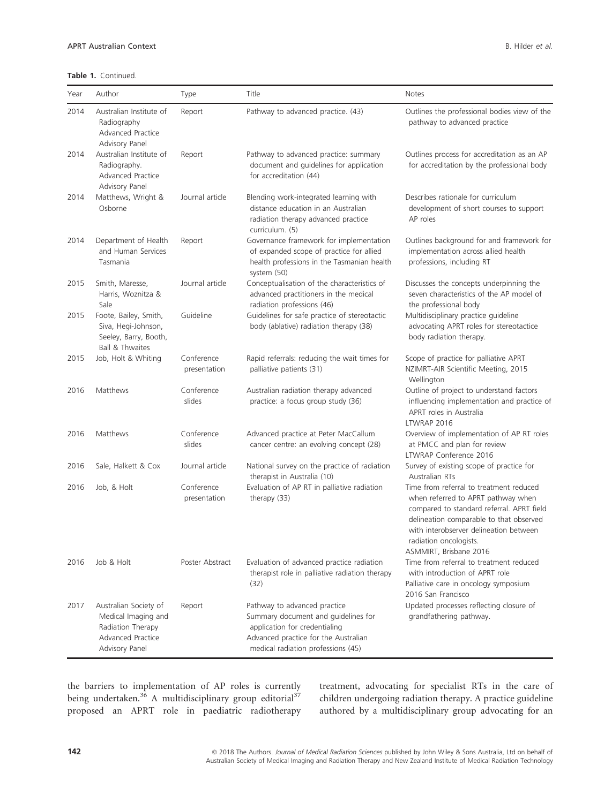Table 1. Continued.

| Year | Author                                                                                                   | Type                       | Title                                                                                                                                                                              | Notes                                                                                                                                                                                                                                                               |
|------|----------------------------------------------------------------------------------------------------------|----------------------------|------------------------------------------------------------------------------------------------------------------------------------------------------------------------------------|---------------------------------------------------------------------------------------------------------------------------------------------------------------------------------------------------------------------------------------------------------------------|
| 2014 | Australian Institute of<br>Radiography<br>Advanced Practice<br>Advisory Panel                            | Report                     | Pathway to advanced practice. (43)                                                                                                                                                 | Outlines the professional bodies view of the<br>pathway to advanced practice                                                                                                                                                                                        |
| 2014 | Australian Institute of<br>Radiography.<br>Advanced Practice<br>Advisory Panel                           | Report                     | Pathway to advanced practice: summary<br>document and guidelines for application<br>for accreditation (44)                                                                         | Outlines process for accreditation as an AP<br>for accreditation by the professional body                                                                                                                                                                           |
| 2014 | Matthews, Wright &<br>Osborne                                                                            | Journal article            | Blending work-integrated learning with<br>distance education in an Australian<br>radiation therapy advanced practice<br>curriculum. (5)                                            | Describes rationale for curriculum<br>development of short courses to support<br>AP roles                                                                                                                                                                           |
| 2014 | Department of Health<br>and Human Services<br>Tasmania                                                   | Report                     | Governance framework for implementation<br>of expanded scope of practice for allied<br>health professions in the Tasmanian health<br>system (50)                                   | Outlines background for and framework for<br>implementation across allied health<br>professions, including RT                                                                                                                                                       |
| 2015 | Smith, Maresse,<br>Harris, Woznitza &<br>Sale                                                            | Journal article            | Conceptualisation of the characteristics of<br>advanced practitioners in the medical<br>radiation professions (46)                                                                 | Discusses the concepts underpinning the<br>seven characteristics of the AP model of<br>the professional body                                                                                                                                                        |
| 2015 | Foote, Bailey, Smith,<br>Siva, Hegi-Johnson,<br>Seeley, Barry, Booth,<br><b>Ball &amp; Thwaites</b>      | Guideline                  | Guidelines for safe practice of stereotactic<br>body (ablative) radiation therapy (38)                                                                                             | Multidisciplinary practice guideline<br>advocating APRT roles for stereotactice<br>body radiation therapy.                                                                                                                                                          |
| 2015 | Job, Holt & Whiting                                                                                      | Conference<br>presentation | Rapid referrals: reducing the wait times for<br>palliative patients (31)                                                                                                           | Scope of practice for palliative APRT<br>NZIMRT-AIR Scientific Meeting, 2015<br>Wellington                                                                                                                                                                          |
| 2016 | Matthews                                                                                                 | Conference<br>slides       | Australian radiation therapy advanced<br>practice: a focus group study (36)                                                                                                        | Outline of project to understand factors<br>influencing implementation and practice of<br>APRT roles in Australia<br>LTWRAP 2016                                                                                                                                    |
| 2016 | Matthews                                                                                                 | Conference<br>slides       | Advanced practice at Peter MacCallum<br>cancer centre: an evolving concept (28)                                                                                                    | Overview of implementation of AP RT roles<br>at PMCC and plan for review<br>LTWRAP Conference 2016                                                                                                                                                                  |
| 2016 | Sale, Halkett & Cox                                                                                      | Journal article            | National survey on the practice of radiation<br>therapist in Australia (10)                                                                                                        | Survey of existing scope of practice for<br>Australian RTs                                                                                                                                                                                                          |
| 2016 | Job, & Holt                                                                                              | Conference<br>presentation | Evaluation of AP RT in palliative radiation<br>therapy $(33)$                                                                                                                      | Time from referral to treatment reduced<br>when referred to APRT pathway when<br>compared to standard referral. APRT field<br>delineation comparable to that observed<br>with interobserver delineation between<br>radiation oncologists.<br>ASMMIRT, Brisbane 2016 |
| 2016 | Job & Holt                                                                                               | Poster Abstract            | Evaluation of advanced practice radiation<br>therapist role in palliative radiation therapy<br>(32)                                                                                | Time from referral to treatment reduced<br>with introduction of APRT role<br>Palliative care in oncology symposium<br>2016 San Francisco                                                                                                                            |
| 2017 | Australian Society of<br>Medical Imaging and<br>Radiation Therapy<br>Advanced Practice<br>Advisory Panel | Report                     | Pathway to advanced practice<br>Summary document and quidelines for<br>application for credentialing<br>Advanced practice for the Australian<br>medical radiation professions (45) | Updated processes reflecting closure of<br>grandfathering pathway.                                                                                                                                                                                                  |

the barriers to implementation of AP roles is currently being undertaken.<sup>36</sup> A multidisciplinary group editorial<sup>37</sup> proposed an APRT role in paediatric radiotherapy treatment, advocating for specialist RTs in the care of children undergoing radiation therapy. A practice guideline authored by a multidisciplinary group advocating for an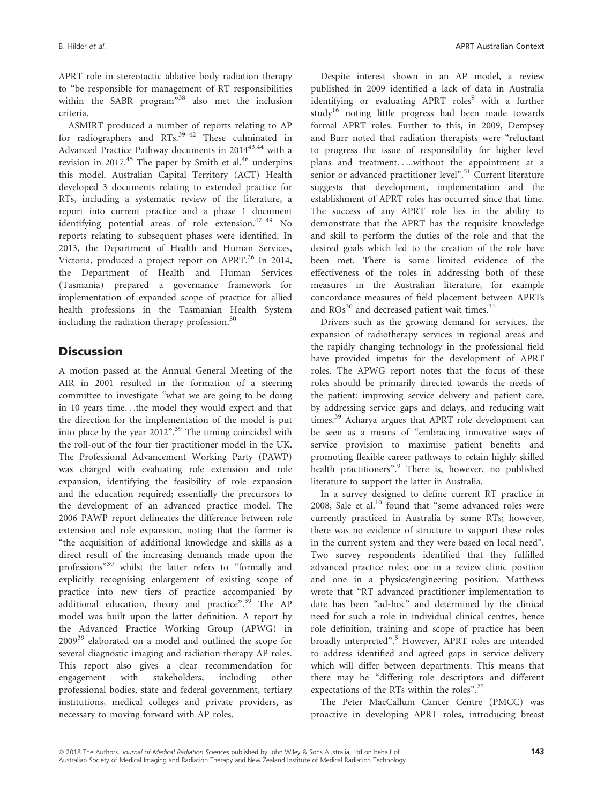APRT role in stereotactic ablative body radiation therapy to "be responsible for management of RT responsibilities within the SABR program<sup>"38</sup> also met the inclusion criteria.

ASMIRT produced a number of reports relating to AP for radiographers and RTs.<sup>39-42</sup> These culminated in Advanced Practice Pathway documents in 201443,44 with a revision in 2017.<sup>45</sup> The paper by Smith et al.<sup>46</sup> underpins this model. Australian Capital Territory (ACT) Health developed 3 documents relating to extended practice for RTs, including a systematic review of the literature, a report into current practice and a phase 1 document identifying potential areas of role extension. $47-49$  No reports relating to subsequent phases were identified. In 2013, the Department of Health and Human Services, Victoria, produced a project report on APRT.<sup>26</sup> In 2014, the Department of Health and Human Services (Tasmania) prepared a governance framework for implementation of expanded scope of practice for allied health professions in the Tasmanian Health System including the radiation therapy profession.<sup>50</sup>

### **Discussion**

A motion passed at the Annual General Meeting of the AIR in 2001 resulted in the formation of a steering committee to investigate "what we are going to be doing in 10 years time...the model they would expect and that the direction for the implementation of the model is put into place by the year  $2012$ ".<sup>39</sup> The timing coincided with the roll-out of the four tier practitioner model in the UK. The Professional Advancement Working Party (PAWP) was charged with evaluating role extension and role expansion, identifying the feasibility of role expansion and the education required; essentially the precursors to the development of an advanced practice model. The 2006 PAWP report delineates the difference between role extension and role expansion, noting that the former is "the acquisition of additional knowledge and skills as a direct result of the increasing demands made upon the professions"<sup>39</sup> whilst the latter refers to "formally and explicitly recognising enlargement of existing scope of practice into new tiers of practice accompanied by additional education, theory and practice". $39$  The AP model was built upon the latter definition. A report by the Advanced Practice Working Group (APWG) in 2009<sup>39</sup> elaborated on a model and outlined the scope for several diagnostic imaging and radiation therapy AP roles. This report also gives a clear recommendation for engagement with stakeholders, including other professional bodies, state and federal government, tertiary institutions, medical colleges and private providers, as necessary to moving forward with AP roles.

Despite interest shown in an AP model, a review published in 2009 identified a lack of data in Australia identifying or evaluating  $APRT$  roles<sup>9</sup> with a further study<sup>16</sup> noting little progress had been made towards formal APRT roles. Further to this, in 2009, Dempsey and Burr noted that radiation therapists were "reluctant to progress the issue of responsibility for higher level plans and treatment.....without the appointment at a senior or advanced practitioner level".<sup>51</sup> Current literature suggests that development, implementation and the establishment of APRT roles has occurred since that time. The success of any APRT role lies in the ability to demonstrate that the APRT has the requisite knowledge and skill to perform the duties of the role and that the desired goals which led to the creation of the role have been met. There is some limited evidence of the effectiveness of the roles in addressing both of these measures in the Australian literature, for example concordance measures of field placement between APRTs and  $ROS^{30}$  and decreased patient wait times.<sup>31</sup>

Drivers such as the growing demand for services, the expansion of radiotherapy services in regional areas and the rapidly changing technology in the professional field have provided impetus for the development of APRT roles. The APWG report notes that the focus of these roles should be primarily directed towards the needs of the patient: improving service delivery and patient care, by addressing service gaps and delays, and reducing wait times.<sup>39</sup> Acharya argues that APRT role development can be seen as a means of "embracing innovative ways of service provision to maximise patient benefits and promoting flexible career pathways to retain highly skilled health practitioners".<sup>9</sup> There is, however, no published literature to support the latter in Australia.

In a survey designed to define current RT practice in 2008, Sale et al.<sup>10</sup> found that "some advanced roles were currently practiced in Australia by some RTs; however, there was no evidence of structure to support these roles in the current system and they were based on local need". Two survey respondents identified that they fulfilled advanced practice roles; one in a review clinic position and one in a physics/engineering position. Matthews wrote that "RT advanced practitioner implementation to date has been "ad-hoc" and determined by the clinical need for such a role in individual clinical centres, hence role definition, training and scope of practice has been broadly interpreted".<sup>5</sup> However, APRT roles are intended to address identified and agreed gaps in service delivery which will differ between departments. This means that there may be "differing role descriptors and different expectations of the RTs within the roles".<sup>25</sup>

The Peter MacCallum Cancer Centre (PMCC) was proactive in developing APRT roles, introducing breast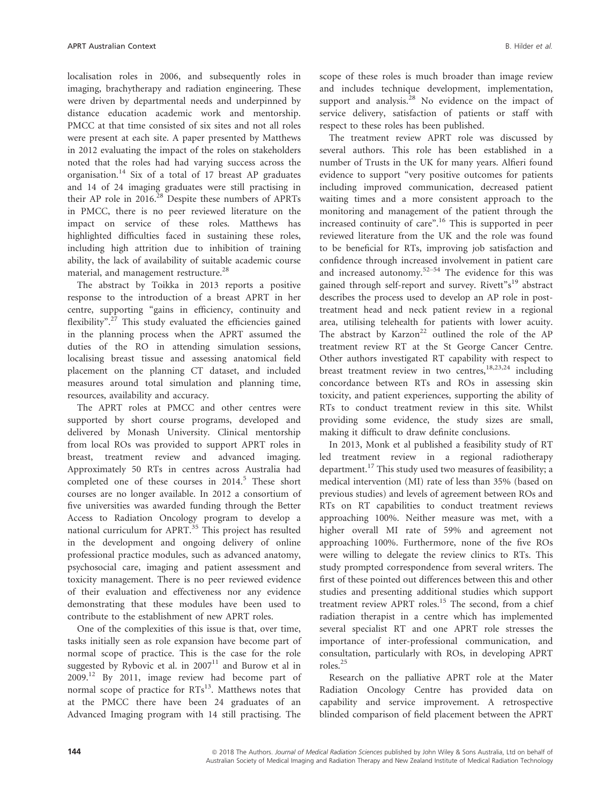localisation roles in 2006, and subsequently roles in imaging, brachytherapy and radiation engineering. These were driven by departmental needs and underpinned by distance education academic work and mentorship. PMCC at that time consisted of six sites and not all roles were present at each site. A paper presented by Matthews in 2012 evaluating the impact of the roles on stakeholders noted that the roles had had varying success across the organisation.<sup>14</sup> Six of a total of 17 breast AP graduates and 14 of 24 imaging graduates were still practising in their AP role in 2016.<sup>28</sup> Despite these numbers of APRTs in PMCC, there is no peer reviewed literature on the impact on service of these roles. Matthews has highlighted difficulties faced in sustaining these roles, including high attrition due to inhibition of training ability, the lack of availability of suitable academic course material, and management restructure.<sup>28</sup>

The abstract by Toikka in 2013 reports a positive response to the introduction of a breast APRT in her centre, supporting "gains in efficiency, continuity and flexibility".<sup>27</sup> This study evaluated the efficiencies gained in the planning process when the APRT assumed the duties of the RO in attending simulation sessions, localising breast tissue and assessing anatomical field placement on the planning CT dataset, and included measures around total simulation and planning time, resources, availability and accuracy.

The APRT roles at PMCC and other centres were supported by short course programs, developed and delivered by Monash University. Clinical mentorship from local ROs was provided to support APRT roles in breast, treatment review and advanced imaging. Approximately 50 RTs in centres across Australia had completed one of these courses in 2014.<sup>5</sup> These short courses are no longer available. In 2012 a consortium of five universities was awarded funding through the Better Access to Radiation Oncology program to develop a national curriculum for APRT.<sup>35</sup> This project has resulted in the development and ongoing delivery of online professional practice modules, such as advanced anatomy, psychosocial care, imaging and patient assessment and toxicity management. There is no peer reviewed evidence of their evaluation and effectiveness nor any evidence demonstrating that these modules have been used to contribute to the establishment of new APRT roles.

One of the complexities of this issue is that, over time, tasks initially seen as role expansion have become part of normal scope of practice. This is the case for the role suggested by Rybovic et al. in  $2007<sup>11</sup>$  and Burow et al in  $2009<sup>12</sup>$  By 2011, image review had become part of normal scope of practice for  $RTs^{13}$ . Matthews notes that at the PMCC there have been 24 graduates of an Advanced Imaging program with 14 still practising. The scope of these roles is much broader than image review and includes technique development, implementation, support and analysis.<sup>28</sup> No evidence on the impact of service delivery, satisfaction of patients or staff with respect to these roles has been published.

The treatment review APRT role was discussed by several authors. This role has been established in a number of Trusts in the UK for many years. Alfieri found evidence to support "very positive outcomes for patients including improved communication, decreased patient waiting times and a more consistent approach to the monitoring and management of the patient through the increased continuity of care".<sup>16</sup> This is supported in peer reviewed literature from the UK and the role was found to be beneficial for RTs, improving job satisfaction and confidence through increased involvement in patient care and increased autonomy. $52-54$  The evidence for this was gained through self-report and survey. Rivett" $s^{19}$  abstract describes the process used to develop an AP role in posttreatment head and neck patient review in a regional area, utilising telehealth for patients with lower acuity. The abstract by  $Karzon^{22}$  outlined the role of the AP treatment review RT at the St George Cancer Centre. Other authors investigated RT capability with respect to breast treatment review in two centres,  $18,23,24$  including concordance between RTs and ROs in assessing skin toxicity, and patient experiences, supporting the ability of RTs to conduct treatment review in this site. Whilst providing some evidence, the study sizes are small, making it difficult to draw definite conclusions.

In 2013, Monk et al published a feasibility study of RT led treatment review in a regional radiotherapy department.<sup>17</sup> This study used two measures of feasibility; a medical intervention (MI) rate of less than 35% (based on previous studies) and levels of agreement between ROs and RTs on RT capabilities to conduct treatment reviews approaching 100%. Neither measure was met, with a higher overall MI rate of 59% and agreement not approaching 100%. Furthermore, none of the five ROs were willing to delegate the review clinics to RTs. This study prompted correspondence from several writers. The first of these pointed out differences between this and other studies and presenting additional studies which support treatment review APRT roles.<sup>15</sup> The second, from a chief radiation therapist in a centre which has implemented several specialist RT and one APRT role stresses the importance of inter-professional communication, and consultation, particularly with ROs, in developing APRT roles.<sup>25</sup>

Research on the palliative APRT role at the Mater Radiation Oncology Centre has provided data on capability and service improvement. A retrospective blinded comparison of field placement between the APRT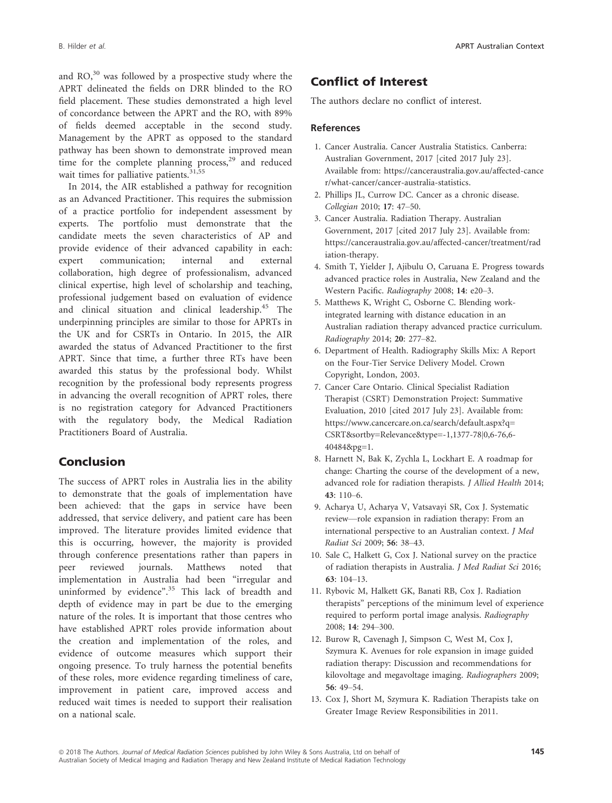and RO,<sup>30</sup> was followed by a prospective study where the APRT delineated the fields on DRR blinded to the RO field placement. These studies demonstrated a high level of concordance between the APRT and the RO, with 89% of fields deemed acceptable in the second study. Management by the APRT as opposed to the standard pathway has been shown to demonstrate improved mean time for the complete planning process,<sup>29</sup> and reduced wait times for palliative patients. $31,55$ 

In 2014, the AIR established a pathway for recognition as an Advanced Practitioner. This requires the submission of a practice portfolio for independent assessment by experts. The portfolio must demonstrate that the candidate meets the seven characteristics of AP and provide evidence of their advanced capability in each: expert communication; internal and external collaboration, high degree of professionalism, advanced clinical expertise, high level of scholarship and teaching, professional judgement based on evaluation of evidence and clinical situation and clinical leadership.45 The underpinning principles are similar to those for APRTs in the UK and for CSRTs in Ontario. In 2015, the AIR awarded the status of Advanced Practitioner to the first APRT. Since that time, a further three RTs have been awarded this status by the professional body. Whilst recognition by the professional body represents progress in advancing the overall recognition of APRT roles, there is no registration category for Advanced Practitioners with the regulatory body, the Medical Radiation Practitioners Board of Australia.

### Conclusion

The success of APRT roles in Australia lies in the ability to demonstrate that the goals of implementation have been achieved: that the gaps in service have been addressed, that service delivery, and patient care has been improved. The literature provides limited evidence that this is occurring, however, the majority is provided through conference presentations rather than papers in peer reviewed journals. Matthews noted that implementation in Australia had been "irregular and uninformed by evidence".<sup>35</sup> This lack of breadth and depth of evidence may in part be due to the emerging nature of the roles. It is important that those centres who have established APRT roles provide information about the creation and implementation of the roles, and evidence of outcome measures which support their ongoing presence. To truly harness the potential benefits of these roles, more evidence regarding timeliness of care, improvement in patient care, improved access and reduced wait times is needed to support their realisation on a national scale.

# Conflict of Interest

The authors declare no conflict of interest.

#### References

- 1. Cancer Australia. Cancer Australia Statistics. Canberra: Australian Government, 2017 [cited 2017 July 23]. Available from: [https://canceraustralia.gov.au/affected-cance](https://canceraustralia.gov.au/affected-cancer/what-cancer/cancer-australia-statistics) [r/what-cancer/cancer-australia-statistics](https://canceraustralia.gov.au/affected-cancer/what-cancer/cancer-australia-statistics).
- 2. Phillips JL, Currow DC. Cancer as a chronic disease. Collegian 2010; 17: 47–50.
- 3. Cancer Australia. Radiation Therapy. Australian Government, 2017 [cited 2017 July 23]. Available from: [https://canceraustralia.gov.au/affected-cancer/treatment/rad](https://canceraustralia.gov.au/affected-cancer/treatment/radiation-therapy) [iation-therapy](https://canceraustralia.gov.au/affected-cancer/treatment/radiation-therapy).
- 4. Smith T, Yielder J, Ajibulu O, Caruana E. Progress towards advanced practice roles in Australia, New Zealand and the Western Pacific. Radiography 2008; 14: e20–3.
- 5. Matthews K, Wright C, Osborne C. Blending workintegrated learning with distance education in an Australian radiation therapy advanced practice curriculum. Radiography 2014; 20: 277–82.
- 6. Department of Health. Radiography Skills Mix: A Report on the Four-Tier Service Delivery Model. Crown Copyright, London, 2003.
- 7. Cancer Care Ontario. Clinical Specialist Radiation Therapist (CSRT) Demonstration Project: Summative Evaluation, 2010 [cited 2017 July 23]. Available from: [https://www.cancercare.on.ca/search/default.aspx?q=](https://www.cancercare.on.ca/search/default.aspx?q=CSRT&sortby=Relevance&type=-1,1377-78<ucode type=) [CSRT&sortby=Relevance&type=-1,1377-78](https://www.cancercare.on.ca/search/default.aspx?q=CSRT&sortby=Relevance&type=-1,1377-78<ucode type=)|0,6-76,6- [40484&pg=1](https://www.cancercare.on.ca/search/default.aspx?q=CSRT&sortby=Relevance&type=-1,1377-78<ucode type=).
- 8. Harnett N, Bak K, Zychla L, Lockhart E. A roadmap for change: Charting the course of the development of a new, advanced role for radiation therapists. J Allied Health 2014; 43: 110–6.
- 9. Acharya U, Acharya V, Vatsavayi SR, Cox J. Systematic review—role expansion in radiation therapy: From an international perspective to an Australian context. J Med Radiat Sci 2009; 56: 38–43.
- 10. Sale C, Halkett G, Cox J. National survey on the practice of radiation therapists in Australia. J Med Radiat Sci 2016; 63: 104–13.
- 11. Rybovic M, Halkett GK, Banati RB, Cox J. Radiation therapists" perceptions of the minimum level of experience required to perform portal image analysis. Radiography 2008; 14: 294–300.
- 12. Burow R, Cavenagh J, Simpson C, West M, Cox J, Szymura K. Avenues for role expansion in image guided radiation therapy: Discussion and recommendations for kilovoltage and megavoltage imaging. Radiographers 2009; 56: 49–54.
- 13. Cox J, Short M, Szymura K. Radiation Therapists take on Greater Image Review Responsibilities in 2011.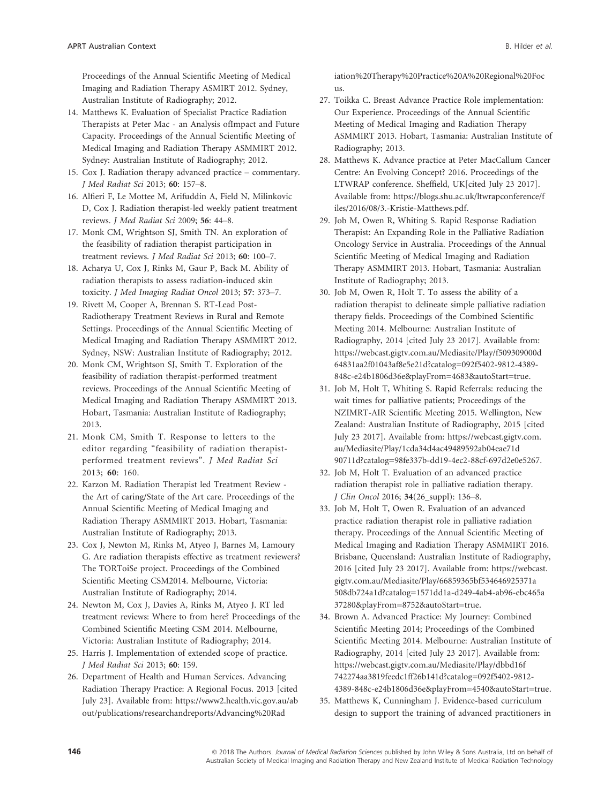Proceedings of the Annual Scientific Meeting of Medical Imaging and Radiation Therapy ASMIRT 2012. Sydney, Australian Institute of Radiography; 2012.

- 14. Matthews K. Evaluation of Specialist Practice Radiation Therapists at Peter Mac - an Analysis ofImpact and Future Capacity. Proceedings of the Annual Scientific Meeting of Medical Imaging and Radiation Therapy ASMMIRT 2012. Sydney: Australian Institute of Radiography; 2012.
- 15. Cox J. Radiation therapy advanced practice commentary. J Med Radiat Sci 2013; 60: 157–8.
- 16. Alfieri F, Le Mottee M, Arifuddin A, Field N, Milinkovic D, Cox J. Radiation therapist-led weekly patient treatment reviews. J Med Radiat Sci 2009; 56: 44–8.
- 17. Monk CM, Wrightson SJ, Smith TN. An exploration of the feasibility of radiation therapist participation in treatment reviews. J Med Radiat Sci 2013; 60: 100–7.
- 18. Acharya U, Cox J, Rinks M, Gaur P, Back M. Ability of radiation therapists to assess radiation-induced skin toxicity. J Med Imaging Radiat Oncol 2013; 57: 373–7.
- 19. Rivett M, Cooper A, Brennan S. RT-Lead Post-Radiotherapy Treatment Reviews in Rural and Remote Settings. Proceedings of the Annual Scientific Meeting of Medical Imaging and Radiation Therapy ASMMIRT 2012. Sydney, NSW: Australian Institute of Radiography; 2012.
- 20. Monk CM, Wrightson SJ, Smith T. Exploration of the feasibility of radiation therapist-performed treatment reviews. Proceedings of the Annual Scientific Meeting of Medical Imaging and Radiation Therapy ASMMIRT 2013. Hobart, Tasmania: Australian Institute of Radiography; 2013.
- 21. Monk CM, Smith T. Response to letters to the editor regarding "feasibility of radiation therapistperformed treatment reviews". J Med Radiat Sci 2013; 60: 160.
- 22. Karzon M. Radiation Therapist led Treatment Review the Art of caring/State of the Art care. Proceedings of the Annual Scientific Meeting of Medical Imaging and Radiation Therapy ASMMIRT 2013. Hobart, Tasmania: Australian Institute of Radiography; 2013.
- 23. Cox J, Newton M, Rinks M, Atyeo J, Barnes M, Lamoury G. Are radiation therapists effective as treatment reviewers? The TORToiSe project. Proceedings of the Combined Scientific Meeting CSM2014. Melbourne, Victoria: Australian Institute of Radiography; 2014.
- 24. Newton M, Cox J, Davies A, Rinks M, Atyeo J. RT led treatment reviews: Where to from here? Proceedings of the Combined Scientific Meeting CSM 2014. Melbourne, Victoria: Australian Institute of Radiography; 2014.
- 25. Harris J. Implementation of extended scope of practice. J Med Radiat Sci 2013; 60: 159.
- 26. Department of Health and Human Services. Advancing Radiation Therapy Practice: A Regional Focus. 2013 [cited July 23]. Available from: [https://www2.health.vic.gov.au/ab](https://www2.health.vic.gov.au/about/publications/researchandreports/Advancing%20Radiation%20Therapy%20Practice%20A%20Regional%20Focus) [out/publications/researchandreports/Advancing%20Rad](https://www2.health.vic.gov.au/about/publications/researchandreports/Advancing%20Radiation%20Therapy%20Practice%20A%20Regional%20Focus)

[iation%20Therapy%20Practice%20A%20Regional%20Foc](https://www2.health.vic.gov.au/about/publications/researchandreports/Advancing%20Radiation%20Therapy%20Practice%20A%20Regional%20Focus) [us](https://www2.health.vic.gov.au/about/publications/researchandreports/Advancing%20Radiation%20Therapy%20Practice%20A%20Regional%20Focus).

- 27. Toikka C. Breast Advance Practice Role implementation: Our Experience. Proceedings of the Annual Scientific Meeting of Medical Imaging and Radiation Therapy ASMMIRT 2013. Hobart, Tasmania: Australian Institute of Radiography; 2013.
- 28. Matthews K. Advance practice at Peter MacCallum Cancer Centre: An Evolving Concept? 2016. Proceedings of the LTWRAP conference. Sheffield, UK[cited July 23 2017]. Available from: [https://blogs.shu.ac.uk/ltwrapconference/f](https://blogs.shu.ac.uk/ltwrapconference/files/2016/08/3.-Kristie-Matthews.pdf) [iles/2016/08/3.-Kristie-Matthews.pdf](https://blogs.shu.ac.uk/ltwrapconference/files/2016/08/3.-Kristie-Matthews.pdf).
- 29. Job M, Owen R, Whiting S. Rapid Response Radiation Therapist: An Expanding Role in the Palliative Radiation Oncology Service in Australia. Proceedings of the Annual Scientific Meeting of Medical Imaging and Radiation Therapy ASMMIRT 2013. Hobart, Tasmania: Australian Institute of Radiography; 2013.
- 30. Job M, Owen R, Holt T. To assess the ability of a radiation therapist to delineate simple palliative radiation therapy fields. Proceedings of the Combined Scientific Meeting 2014. Melbourne: Australian Institute of Radiography, 2014 [cited July 23 2017]. Available from: [https://webcast.gigtv.com.au/Mediasite/Play/f509309000d](https://webcast.gigtv.com.au/Mediasite/Play/f509309000d64831aa2f01043af8e5e21d?catalog=092f5402-9812-4389-848c-e24b1806d36e&playFrom=4683&autoStart=true) [64831aa2f01043af8e5e21d?catalog=092f5402-9812-4389-](https://webcast.gigtv.com.au/Mediasite/Play/f509309000d64831aa2f01043af8e5e21d?catalog=092f5402-9812-4389-848c-e24b1806d36e&playFrom=4683&autoStart=true) [848c-e24b1806d36e&playFrom=4683&autoStart=true.](https://webcast.gigtv.com.au/Mediasite/Play/f509309000d64831aa2f01043af8e5e21d?catalog=092f5402-9812-4389-848c-e24b1806d36e&playFrom=4683&autoStart=true)
- 31. Job M, Holt T, Whiting S. Rapid Referrals: reducing the wait times for palliative patients; Proceedings of the NZIMRT-AIR Scientific Meeting 2015. Wellington, New Zealand: Australian Institute of Radiography, 2015 [cited July 23 2017]. Available from: [https://webcast.gigtv.com.](https://webcast.gigtv.com.au/Mediasite/Play/1cda34d4ac49489592ab04eae71d90711d?catalog=98fe337b-dd19-4ec2-88cf-697d2e0e5267) [au/Mediasite/Play/1cda34d4ac49489592ab04eae71d](https://webcast.gigtv.com.au/Mediasite/Play/1cda34d4ac49489592ab04eae71d90711d?catalog=98fe337b-dd19-4ec2-88cf-697d2e0e5267) [90711d?catalog=98fe337b-dd19-4ec2-88cf-697d2e0e5267](https://webcast.gigtv.com.au/Mediasite/Play/1cda34d4ac49489592ab04eae71d90711d?catalog=98fe337b-dd19-4ec2-88cf-697d2e0e5267).
- 32. Job M, Holt T. Evaluation of an advanced practice radiation therapist role in palliative radiation therapy. J Clin Oncol 2016; 34(26\_suppl): 136–8.
- 33. Job M, Holt T, Owen R. Evaluation of an advanced practice radiation therapist role in palliative radiation therapy. Proceedings of the Annual Scientific Meeting of Medical Imaging and Radiation Therapy ASMMIRT 2016. Brisbane, Queensland: Australian Institute of Radiography, 2016 [cited July 23 2017]. Available from: [https://webcast.](https://webcast.gigtv.com.au/Mediasite/Play/66859365bf534646925371a508db724a1d?catalog=1571dd1a-d249-4ab4-ab96-ebc465a37280&playFrom=8752&autoStart=true) [gigtv.com.au/Mediasite/Play/66859365bf534646925371a](https://webcast.gigtv.com.au/Mediasite/Play/66859365bf534646925371a508db724a1d?catalog=1571dd1a-d249-4ab4-ab96-ebc465a37280&playFrom=8752&autoStart=true) [508db724a1d?catalog=1571dd1a-d249-4ab4-ab96-ebc465a](https://webcast.gigtv.com.au/Mediasite/Play/66859365bf534646925371a508db724a1d?catalog=1571dd1a-d249-4ab4-ab96-ebc465a37280&playFrom=8752&autoStart=true) [37280&playFrom=8752&autoStart=true](https://webcast.gigtv.com.au/Mediasite/Play/66859365bf534646925371a508db724a1d?catalog=1571dd1a-d249-4ab4-ab96-ebc465a37280&playFrom=8752&autoStart=true).
- 34. Brown A. Advanced Practice: My Journey: Combined Scientific Meeting 2014; Proceedings of the Combined Scientific Meeting 2014. Melbourne: Australian Institute of Radiography, 2014 [cited July 23 2017]. Available from: [https://webcast.gigtv.com.au/Mediasite/Play/dbbd16f](https://webcast.gigtv.com.au/Mediasite/Play/dbbd16f742274aa3819feedc1ff26b141d?catalog=092f5402-9812-4389-848c-e24b1806d36e&playFrom=4540&autoStart=true) [742274aa3819feedc1ff26b141d?catalog=092f5402-9812-](https://webcast.gigtv.com.au/Mediasite/Play/dbbd16f742274aa3819feedc1ff26b141d?catalog=092f5402-9812-4389-848c-e24b1806d36e&playFrom=4540&autoStart=true) [4389-848c-e24b1806d36e&playFrom=4540&autoStart=true.](https://webcast.gigtv.com.au/Mediasite/Play/dbbd16f742274aa3819feedc1ff26b141d?catalog=092f5402-9812-4389-848c-e24b1806d36e&playFrom=4540&autoStart=true)
- 35. Matthews K, Cunningham J. Evidence-based curriculum design to support the training of advanced practitioners in